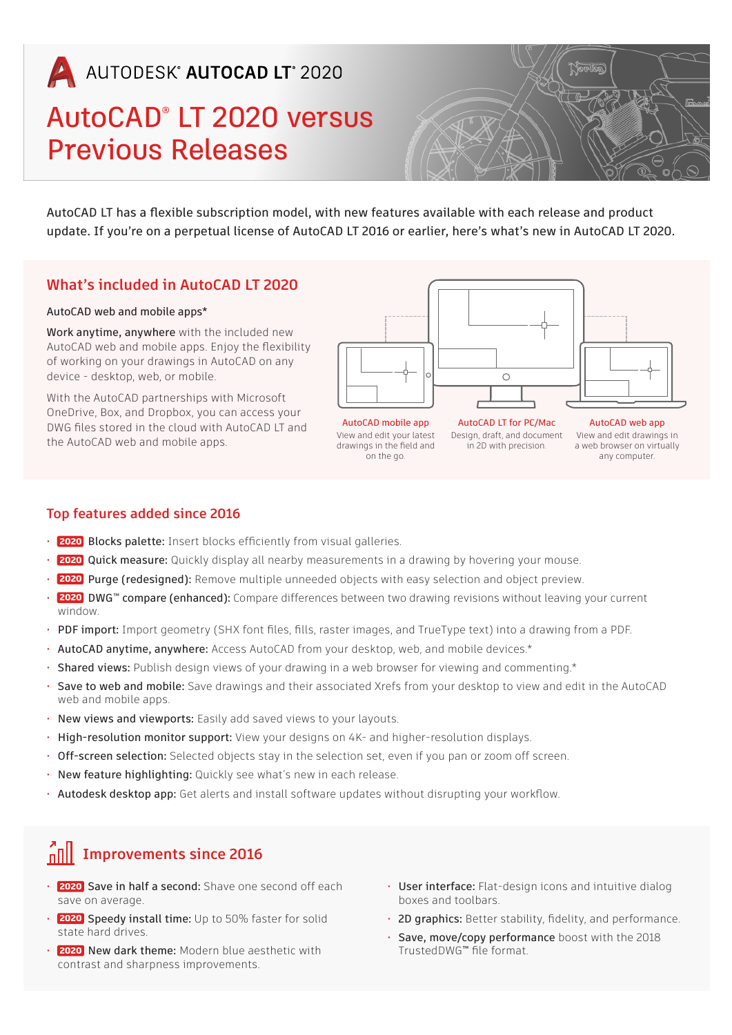# AUTODESK<sup>®</sup> AUTOCAD LT<sup>®</sup> 2020

# AutoCAD® LT 2020 versus Previous Releases



AutoCAD LT has a flexible subscription model, with new features available with each release and product update. If you're on a perpetual license of AutoCAD LT 2016 or earlier, here's what's new in AutoCAD LT 2020.

#### **What's included in AutoCAD LT 2020**

#### AutoCAD web and mobile apps\*

Work anytime, anywhere with the included new AutoCAD web and mobile apps. Enjoy the flexibility of working on your drawings in AutoCAD on any device - desktop, web, or mobile.

With the AutoCAD partnerships with Microsoft OneDrive, Box, and Dropbox, you can access your DWG files stored in the cloud with AutoCAD LT and the AutoCAD web and mobile apps.



AutoCAD mobile app View and edit your latest drawings in the field and on the go.

AutoCAD LT for PC/Mac Design, draft, and document in 2D with precision.

AutoCAD web app View and edit drawings in a web browser on virtually any computer.

#### **Top features added since 2016**

- **2020** Blocks palette: Insert blocks efficiently from visual galleries. 2020
- **2020** Quick measure: Quickly display all nearby measurements in a drawing by hovering your mouse. 2020
- **2020** Purge (redesigned): Remove multiple unneeded objects with easy selection and object preview. 2020
- **2020** DWG™ compare (enhanced): Compare differences between two drawing revisions without leaving your current 2020 window.
- PDF import: Import geometry (SHX font files, fills, raster images, and TrueType text) into a drawing from a PDF.
- AutoCAD anytime, anywhere: Access AutoCAD from your desktop, web, and mobile devices.\*
- Shared views: Publish design views of your drawing in a web browser for viewing and commenting.\*
- Save to web and mobile: Save drawings and their associated Xrefs from your desktop to view and edit in the AutoCAD web and mobile apps.
- New views and viewports: Easily add saved views to your layouts.
- High-resolution monitor support: View your designs on 4K- and higher-resolution displays.
- Off-screen selection: Selected objects stay in the selection set, even if you pan or zoom off screen.
- New feature highlighting: Quickly see what's new in each release.
- Autodesk desktop app: Get alerts and install software updates without disrupting your workflow.

## **Improvements since 2016**

- **2020** Save in half a second: Shave one second off each save on average.
- **2020** Speedy install time: Up to 50% faster for solid 2020 state hard drives.
- **2020** New dark theme: Modern blue aesthetic with 2020 contrast and sharpness improvements.
- User interface: Flat-design icons and intuitive dialog boxes and toolbars.
- 2D graphics: Better stability, fidelity, and performance.
- Save, move/copy performance boost with the 2018 TrustedDWG™ file format.